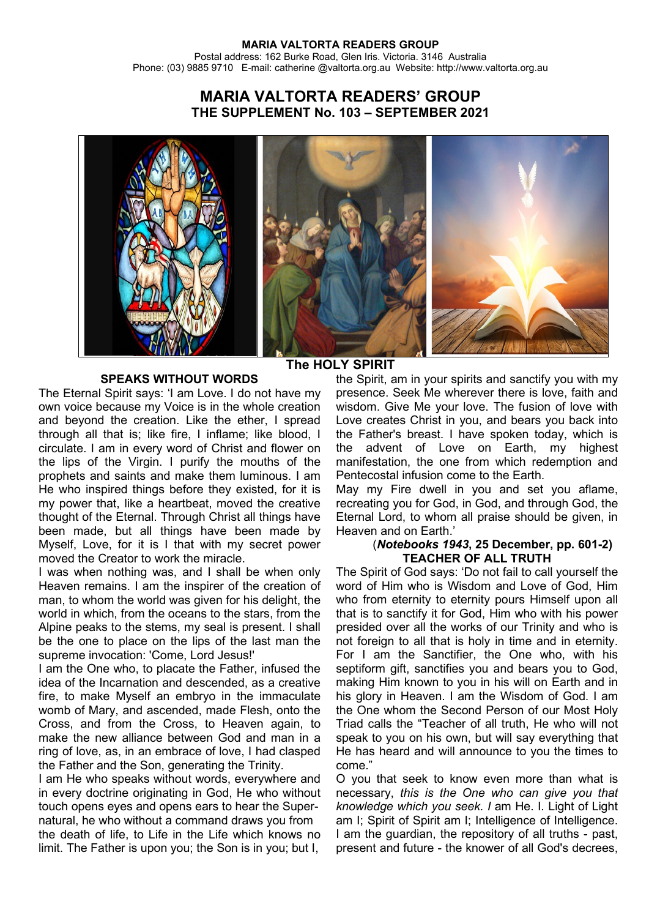# **MARIA VALTORTA READERS' GROUP THE SUPPLEMENT No. 103 – SEPTEMBER 2021**



### **SPEAKS WITHOUT WORDS**

The Eternal Spirit says: 'I am Love. I do not have my own voice because my Voice is in the whole creation and beyond the creation. Like the ether, I spread through all that is; like fire, I inflame; like blood, I circulate. I am in every word of Christ and flower on the lips of the Virgin. I purify the mouths of the prophets and saints and make them luminous. I am He who inspired things before they existed, for it is my power that, like a heartbeat, moved the creative thought of the Eternal. Through Christ all things have been made, but all things have been made by Myself, Love, for it is I that with my secret power moved the Creator to work the miracle.

I was when nothing was, and I shall be when only Heaven remains. I am the inspirer of the creation of man, to whom the world was given for his delight, the world in which, from the oceans to the stars, from the Alpine peaks to the stems, my seal is present. I shall be the one to place on the lips of the last man the supreme invocation: 'Come, Lord Jesus!'

I am the One who, to placate the Father, infused the idea of the Incarnation and descended, as a creative fire, to make Myself an embryo in the immaculate womb of Mary, and ascended, made Flesh, onto the Cross, and from the Cross, to Heaven again, to make the new alliance between God and man in a ring of love, as, in an embrace of love, I had clasped the Father and the Son, generating the Trinity.

I am He who speaks without words, everywhere and in every doctrine originating in God, He who without touch opens eyes and opens ears to hear the Supernatural, he who without a command draws you from the death of life, to Life in the Life which knows no limit. The Father is upon you; the Son is in you; but I,

# **The HOLY SPIRIT**

the Spirit, am in your spirits and sanctify you with my presence. Seek Me wherever there is love, faith and wisdom. Give Me your love. The fusion of love with Love creates Christ in you, and bears you back into the Father's breast. I have spoken today, which is the advent of Love on Earth, my highest manifestation, the one from which redemption and Pentecostal infusion come to the Earth.

May my Fire dwell in you and set you aflame, recreating you for God, in God, and through God, the Eternal Lord, to whom all praise should be given, in Heaven and on Earth.'

#### (*Notebooks 1943***, 25 December, pp. 601-2) TEACHER OF ALL TRUTH**

The Spirit of God says: 'Do not fail to call yourself the word of Him who is Wisdom and Love of God, Him who from eternity to eternity pours Himself upon all that is to sanctify it for God, Him who with his power presided over all the works of our Trinity and who is not foreign to all that is holy in time and in eternity. For I am the Sanctifier, the One who, with his septiform gift, sanctifies you and bears you to God, making Him known to you in his will on Earth and in his glory in Heaven. I am the Wisdom of God. I am the One whom the Second Person of our Most Holy Triad calls the "Teacher of all truth, He who will not speak to you on his own, but will say everything that He has heard and will announce to you the times to come."

O you that seek to know even more than what is necessary, *this is the One who can give you that knowledge which you seek. I* am He. I. Light of Light am I; Spirit of Spirit am I; Intelligence of Intelligence. I am the guardian, the repository of all truths - past, present and future - the knower of all God's decrees,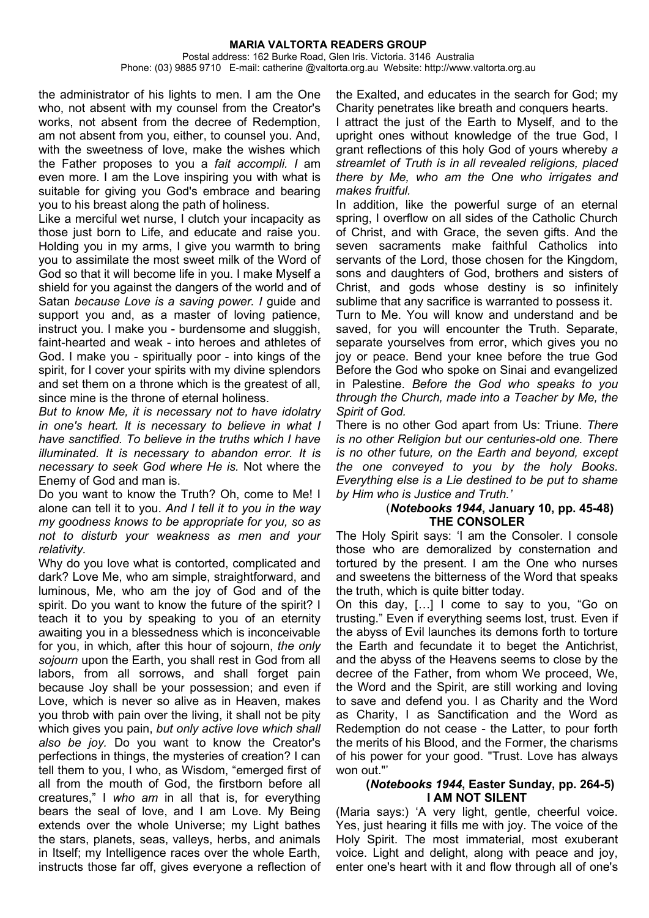#### **MARIA VALTORTA READERS GROUP** Postal address: 162 Burke Road, Glen Iris. Victoria. 3146 Australia Phone: (03) 9885 9710 E-mail: catherine @valtorta.org.au Website: http://www.valtorta.org.au

the administrator of his lights to men. I am the One who, not absent with my counsel from the Creator's works, not absent from the decree of Redemption, am not absent from you, either, to counsel you. And, with the sweetness of love, make the wishes which the Father proposes to you a *fait accompli. I* am even more. I am the Love inspiring you with what is suitable for giving you God's embrace and bearing you to his breast along the path of holiness.

Like a merciful wet nurse, I clutch your incapacity as those just born to Life, and educate and raise you. Holding you in my arms, I give you warmth to bring you to assimilate the most sweet milk of the Word of God so that it will become life in you. I make Myself a shield for you against the dangers of the world and of Satan *because Love is a saving power. I* guide and support you and, as a master of loving patience, instruct you. I make you - burdensome and sluggish, faint-hearted and weak - into heroes and athletes of God. I make you - spiritually poor - into kings of the spirit, for I cover your spirits with my divine splendors and set them on a throne which is the greatest of all, since mine is the throne of eternal holiness.

*But to know Me, it is necessary not to have idolatry in one's heart. It is necessary to believe in what I have sanctified. To believe in the truths which I have illuminated. It is necessary to abandon error. It is necessary to seek God where He is.* Not where the Enemy of God and man is.

Do you want to know the Truth? Oh, come to Me! I alone can tell it to you. *And I tell it to you in the way my goodness knows to be appropriate for you, so as not to disturb your weakness as men and your relativity.*

Why do you love what is contorted, complicated and dark? Love Me, who am simple, straightforward, and luminous, Me, who am the joy of God and of the spirit. Do you want to know the future of the spirit? I teach it to you by speaking to you of an eternity awaiting you in a blessedness which is inconceivable for you, in which, after this hour of sojourn, *the only sojourn* upon the Earth, you shall rest in God from all labors, from all sorrows, and shall forget pain because Joy shall be your possession; and even if Love, which is never so alive as in Heaven, makes you throb with pain over the living, it shall not be pity which gives you pain, *but only active love which shall also be joy.* Do you want to know the Creator's perfections in things, the mysteries of creation? I can tell them to you, I who, as Wisdom, "emerged first of all from the mouth of God, the firstborn before all creatures," I *who am* in all that is, for everything bears the seal of love, and I am Love. My Being extends over the whole Universe; my Light bathes the stars, planets, seas, valleys, herbs, and animals in Itself; my Intelligence races over the whole Earth, instructs those far off, gives everyone a reflection of

the Exalted, and educates in the search for God; my Charity penetrates like breath and conquers hearts.

I attract the just of the Earth to Myself, and to the upright ones without knowledge of the true God, I grant reflections of this holy God of yours whereby *a streamlet of Truth is in all revealed religions, placed there by Me, who am the One who irrigates and makes fruitful.*

In addition, like the powerful surge of an eternal spring, I overflow on all sides of the Catholic Church of Christ, and with Grace, the seven gifts. And the seven sacraments make faithful Catholics into servants of the Lord, those chosen for the Kingdom, sons and daughters of God, brothers and sisters of Christ, and gods whose destiny is so infinitely sublime that any sacrifice is warranted to possess it. Turn to Me. You will know and understand and be saved, for you will encounter the Truth. Separate, separate yourselves from error, which gives you no joy or peace. Bend your knee before the true God Before the God who spoke on Sinai and evangelized in Palestine. *Before the God who speaks to you through the Church, made into a Teacher by Me, the Spirit of God.*

There is no other God apart from Us: Triune. *There is no other Religion but our centuries-old one. There is no other* fu*ture, on the Earth and beyond, except the one conveyed to you by the holy Books. Everything else is a Lie destined to be put to shame by Him who is Justice and Truth.'*

#### (*Notebooks 1944***, January 10, pp. 45-48) THE CONSOLER**

The Holy Spirit says: 'I am the Consoler. I console those who are demoralized by consternation and tortured by the present. I am the One who nurses and sweetens the bitterness of the Word that speaks the truth, which is quite bitter today.

On this day, […] I come to say to you, "Go on trusting." Even if everything seems lost, trust. Even if the abyss of Evil launches its demons forth to torture the Earth and fecundate it to beget the Antichrist, and the abyss of the Heavens seems to close by the decree of the Father, from whom We proceed, We, the Word and the Spirit, are still working and loving to save and defend you. I as Charity and the Word as Charity, I as Sanctification and the Word as Redemption do not cease - the Latter, to pour forth the merits of his Blood, and the Former, the charisms of his power for your good. "Trust. Love has always won out."'

#### **(***Notebooks 1944***, Easter Sunday, pp. 264-5) I AM NOT SILENT**

(Maria says:) 'A very light, gentle, cheerful voice. Yes, just hearing it fills me with joy. The voice of the Holy Spirit. The most immaterial, most exuberant voice. Light and delight, along with peace and joy, enter one's heart with it and flow through all of one's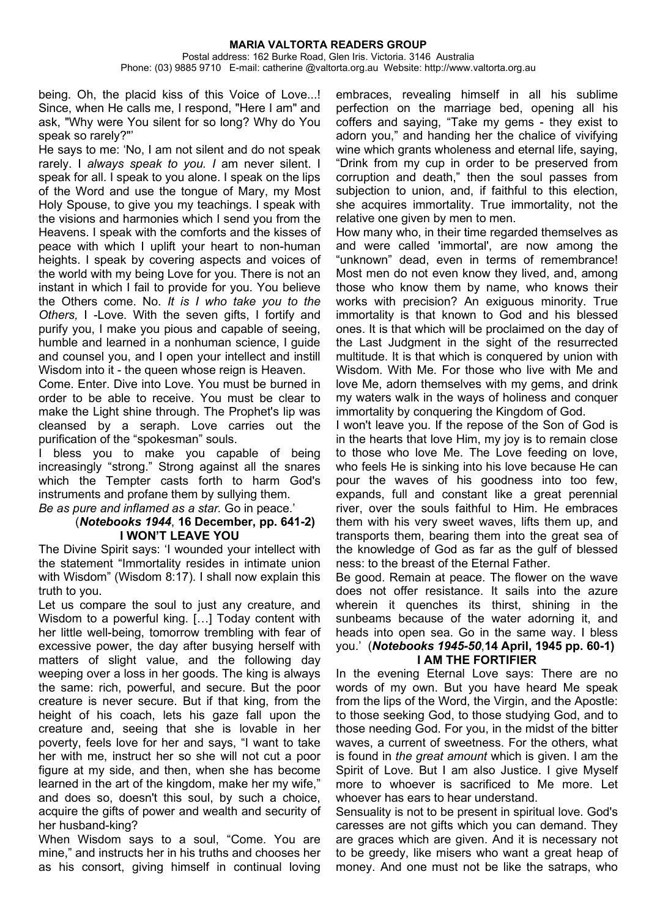being. Oh, the placid kiss of this Voice of Love...! Since, when He calls me, I respond, "Here I am" and ask, "Why were You silent for so long? Why do You speak so rarely?"'

He says to me: 'No, I am not silent and do not speak rarely. I *always speak to you. I* am never silent. I speak for all. I speak to you alone. I speak on the lips of the Word and use the tongue of Mary, my Most Holy Spouse, to give you my teachings. I speak with the visions and harmonies which I send you from the Heavens. I speak with the comforts and the kisses of peace with which I uplift your heart to non-human heights. I speak by covering aspects and voices of the world with my being Love for you. There is not an instant in which I fail to provide for you. You believe the Others come. No. *It is I who take you to the Others,* I -Love. With the seven gifts, I fortify and purify you, I make you pious and capable of seeing, humble and learned in a nonhuman science. I quide and counsel you, and I open your intellect and instill Wisdom into it - the queen whose reign is Heaven.

Come. Enter. Dive into Love. You must be burned in order to be able to receive. You must be clear to make the Light shine through. The Prophet's lip was cleansed by a seraph. Love carries out the purification of the "spokesman" souls.

I bless you to make you capable of being increasingly "strong." Strong against all the snares which the Tempter casts forth to harm God's instruments and profane them by sullying them.

*Be as pure and inflamed as a star.* Go in peace.'

#### (*Notebooks 1944*, **16 December, pp. 641-2) I WON'T LEAVE YOU**

The Divine Spirit says: 'I wounded your intellect with the statement "Immortality resides in intimate union with Wisdom" (Wisdom 8:17). I shall now explain this truth to you.

Let us compare the soul to just any creature, and Wisdom to a powerful king. […] Today content with her little well-being, tomorrow trembling with fear of excessive power, the day after busying herself with matters of slight value, and the following day weeping over a loss in her goods. The king is always the same: rich, powerful, and secure. But the poor creature is never secure. But if that king, from the height of his coach, lets his gaze fall upon the creature and, seeing that she is lovable in her poverty, feels love for her and says, "I want to take her with me, instruct her so she will not cut a poor figure at my side, and then, when she has become learned in the art of the kingdom, make her my wife," and does so, doesn't this soul, by such a choice, acquire the gifts of power and wealth and security of her husband-king?

When Wisdom says to a soul, "Come. You are mine," and instructs her in his truths and chooses her as his consort, giving himself in continual loving

embraces, revealing himself in all his sublime perfection on the marriage bed, opening all his coffers and saying, "Take my gems - they exist to adorn you," and handing her the chalice of vivifying wine which grants wholeness and eternal life, saying, "Drink from my cup in order to be preserved from corruption and death," then the soul passes from subjection to union, and, if faithful to this election, she acquires immortality. True immortality, not the relative one given by men to men.

How many who, in their time regarded themselves as and were called 'immortal', are now among the "unknown" dead, even in terms of remembrance! Most men do not even know they lived, and, among those who know them by name, who knows their works with precision? An exiguous minority. True immortality is that known to God and his blessed ones. It is that which will be proclaimed on the day of the Last Judgment in the sight of the resurrected multitude. It is that which is conquered by union with Wisdom. With Me. For those who live with Me and love Me, adorn themselves with my gems, and drink my waters walk in the ways of holiness and conquer immortality by conquering the Kingdom of God.

I won't leave you. If the repose of the Son of God is in the hearts that love Him, my joy is to remain close to those who love Me. The Love feeding on love, who feels He is sinking into his love because He can pour the waves of his goodness into too few, expands, full and constant like a great perennial river, over the souls faithful to Him. He embraces them with his very sweet waves, lifts them up, and transports them, bearing them into the great sea of the knowledge of God as far as the gulf of blessed ness: to the breast of the Eternal Father.

Be good. Remain at peace. The flower on the wave does not offer resistance. It sails into the azure wherein it quenches its thirst, shining in the sunbeams because of the water adorning it, and heads into open sea. Go in the same way. I bless you.' (*Notebooks 1945-50*,**14 April, 1945 pp. 60-1) I AM THE FORTIFIER**

In the evening Eternal Love says: There are no words of my own. But you have heard Me speak from the lips of the Word, the Virgin, and the Apostle: to those seeking God, to those studying God, and to those needing God. For you, in the midst of the bitter waves, a current of sweetness. For the others, what is found in *the great amount* which is given. I am the Spirit of Love. But I am also Justice. I give Myself more to whoever is sacrificed to Me more. Let whoever has ears to hear understand.

Sensuality is not to be present in spiritual love. God's caresses are not gifts which you can demand. They are graces which are given. And it is necessary not to be greedy, like misers who want a great heap of money. And one must not be like the satraps, who